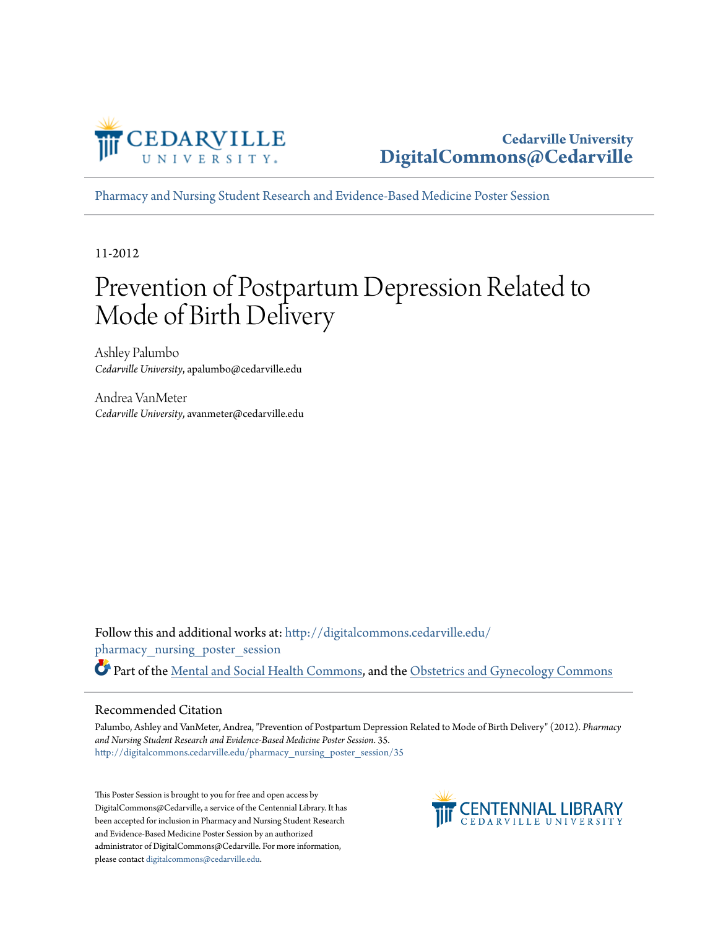

**Cedarville University [DigitalCommons@Cedarville](http://digitalcommons.cedarville.edu?utm_source=digitalcommons.cedarville.edu%2Fpharmacy_nursing_poster_session%2F35&utm_medium=PDF&utm_campaign=PDFCoverPages)**

[Pharmacy and Nursing Student Research and Evidence-Based Medicine Poster Session](http://digitalcommons.cedarville.edu/pharmacy_nursing_poster_session?utm_source=digitalcommons.cedarville.edu%2Fpharmacy_nursing_poster_session%2F35&utm_medium=PDF&utm_campaign=PDFCoverPages)

11-2012

#### Prevention of Postpartum Depression Related to Mode of Birth Delivery

Ashley Palumbo *Cedarville University*, apalumbo@cedarville.edu

Andrea VanMeter *Cedarville University*, avanmeter@cedarville.edu

Follow this and additional works at: [http://digitalcommons.cedarville.edu/](http://digitalcommons.cedarville.edu/pharmacy_nursing_poster_session?utm_source=digitalcommons.cedarville.edu%2Fpharmacy_nursing_poster_session%2F35&utm_medium=PDF&utm_campaign=PDFCoverPages) [pharmacy\\_nursing\\_poster\\_session](http://digitalcommons.cedarville.edu/pharmacy_nursing_poster_session?utm_source=digitalcommons.cedarville.edu%2Fpharmacy_nursing_poster_session%2F35&utm_medium=PDF&utm_campaign=PDFCoverPages) Part of the [Mental and Social Health Commons](http://network.bepress.com/hgg/discipline/709?utm_source=digitalcommons.cedarville.edu%2Fpharmacy_nursing_poster_session%2F35&utm_medium=PDF&utm_campaign=PDFCoverPages), and the [Obstetrics and Gynecology Commons](http://network.bepress.com/hgg/discipline/693?utm_source=digitalcommons.cedarville.edu%2Fpharmacy_nursing_poster_session%2F35&utm_medium=PDF&utm_campaign=PDFCoverPages)

#### Recommended Citation

Palumbo, Ashley and VanMeter, Andrea, "Prevention of Postpartum Depression Related to Mode of Birth Delivery" (2012). *Pharmacy and Nursing Student Research and Evidence-Based Medicine Poster Session*. 35. [http://digitalcommons.cedarville.edu/pharmacy\\_nursing\\_poster\\_session/35](http://digitalcommons.cedarville.edu/pharmacy_nursing_poster_session/35?utm_source=digitalcommons.cedarville.edu%2Fpharmacy_nursing_poster_session%2F35&utm_medium=PDF&utm_campaign=PDFCoverPages)

This Poster Session is brought to you for free and open access by DigitalCommons@Cedarville, a service of the Centennial Library. It has been accepted for inclusion in Pharmacy and Nursing Student Research and Evidence-Based Medicine Poster Session by an authorized administrator of DigitalCommons@Cedarville. For more information, please contact [digitalcommons@cedarville.edu.](mailto:digitalcommons@cedarville.edu)